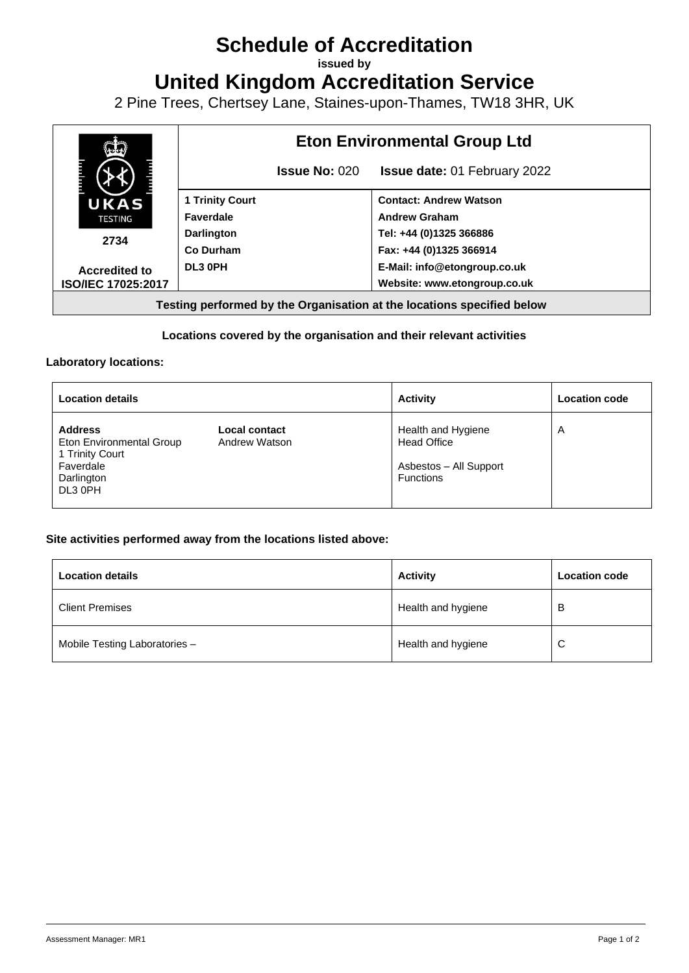# **Schedule of Accreditation**

**issued by**

**United Kingdom Accreditation Service**

2 Pine Trees, Chertsey Lane, Staines-upon-Thames, TW18 3HR, UK



### **Locations covered by the organisation and their relevant activities**

#### **Laboratory locations:**

| <b>Location details</b>                                                                             |                                | <b>Activity</b>                                                                        | <b>Location code</b> |
|-----------------------------------------------------------------------------------------------------|--------------------------------|----------------------------------------------------------------------------------------|----------------------|
| <b>Address</b><br>Eton Environmental Group<br>1 Trinity Court<br>Faverdale<br>Darlington<br>DL3 0PH | Local contact<br>Andrew Watson | Health and Hygiene<br><b>Head Office</b><br>Asbestos - All Support<br><b>Functions</b> | A                    |

#### **Site activities performed away from the locations listed above:**

| <b>Location details</b>       | <b>Activity</b>    | <b>Location code</b> |
|-------------------------------|--------------------|----------------------|
| <b>Client Premises</b>        | Health and hygiene | в                    |
| Mobile Testing Laboratories - | Health and hygiene | C                    |